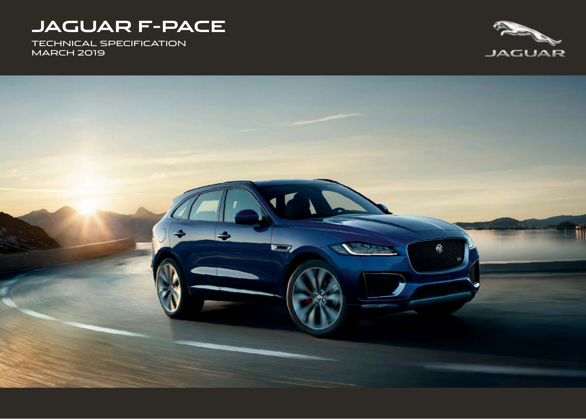# **JAGUAR F-PACE**

TECHNICAL SPECIFICATION MARCH 2019



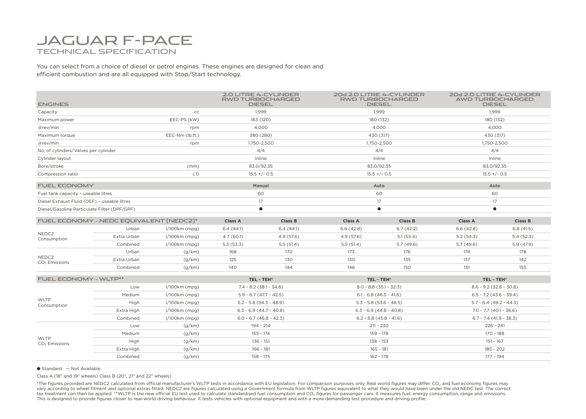## JAGUAR F-PACE TECHNICAL SPECIFICATION

You can select from a choice of diesel or petrol engines. These engines are designed for clean and efficient combustion and are all equipped with Stop/Start technology.

| <b>ENGINES</b>                               |             |                 |                           | 2.0 LITRE 4-CYLINDER<br>RWD TURBOCHARGED<br><b>DIESEL</b> |                           | 20d 2.0 LITRE 4-CYLINDER<br>RWD TURBOCHARGED<br><b>DIESEL</b> |                           | 20d 2.0 LITRE 4-CYLINDER<br>AWD TURBOCHARGED<br><b>DIESEL</b> |  |
|----------------------------------------------|-------------|-----------------|---------------------------|-----------------------------------------------------------|---------------------------|---------------------------------------------------------------|---------------------------|---------------------------------------------------------------|--|
| Capacity                                     | cc          |                 | 1,999                     |                                                           |                           | 1.999                                                         |                           | 1.999                                                         |  |
| EEC-PS (kW)<br>Maximum power                 |             |                 | 163 (120)                 |                                                           |                           | 180 (132)                                                     |                           | 180 (132)                                                     |  |
| @rev/min<br>rpm                              |             | 4,000           |                           | 4,000                                                     |                           |                                                               | 4,000                     |                                                               |  |
| EEC-Nm (lb.ft.)<br>Maximum torque            |             | 380 (280)       |                           | 430 (317)                                                 |                           | 430 (317)                                                     |                           |                                                               |  |
| @rev/min<br>rpm                              |             | 1,750-2,500     |                           | 1,750-2,500                                               |                           |                                                               | 1,750-2,500               |                                                               |  |
| No, of cylinders/Valves per cylinder         |             |                 | 4/4                       |                                                           | 4/4                       |                                                               |                           | 4/4                                                           |  |
| Cylinder layout                              |             |                 | Inline                    |                                                           |                           | Inline                                                        |                           | Inline                                                        |  |
| Bore/stroke                                  | (mm)        |                 | 83.0/92.35                |                                                           |                           | 83.0/92.35                                                    |                           | 83.0/92.35                                                    |  |
| Compression ratio                            |             | (3)             | $15.5 +/- 0.5$            |                                                           |                           | $15.5 +/- 0.5$                                                |                           | $15.5 +/- 0.5$                                                |  |
| <b>FUEL ECONOMY</b>                          |             |                 | Manual                    |                                                           | Auto                      |                                                               | Auto                      |                                                               |  |
| Fuel tank capacity - useable litres          |             |                 | 60                        |                                                           |                           | 60                                                            |                           | 60                                                            |  |
| Diesel Exhaust Fluid (DEF) - useable litres  |             |                 | 17                        |                                                           | 17                        |                                                               | 17                        |                                                               |  |
| Diesel/Gasoline Particulate Filter (DPF/GPF) |             |                 | $\bullet$                 |                                                           |                           | $\bullet$                                                     |                           | $\bullet$                                                     |  |
| FUEL ECONOMY - NEDC EQUIVALENT [NEDC2]*      |             |                 | <b>Class A</b>            | <b>Class B</b>                                            | <b>Class A</b>            | <b>Class B</b>                                                | <b>Class A</b>            | <b>Class B</b>                                                |  |
| NEDC2<br>Consumption                         | Urban       | $1/100km$ (mpg) | 6.4(44.1)                 | 6.4(44.1)                                                 | 6.6(42.8)                 | 6.7(42.2)                                                     | 6.6(42.8)                 | 6.8(41.5)                                                     |  |
|                                              | Extra Urban | $1/100km$ (mpg) | 4.7(60.1)                 | 4.9(57.6)                                                 | 4.9(57.6)                 | 5.1(55.4)                                                     | 5.2(54.3)                 | 5.4(52.3)                                                     |  |
|                                              | Combined    | $1/100km$ (mpg) | 5.3(53.3)                 | 5.5(51.4)                                                 | 5.5(51.4)                 | 5.7(49.6)                                                     | 5.7(49.6)                 | 5.9(47.9)                                                     |  |
|                                              | Urban       | (g/km)          | 168                       | 170                                                       | 173                       | 176                                                           | 174                       | 178                                                           |  |
| NEDC2<br>CO <sub>2</sub> Emissions           | Extra Urban | (g/km)          | 125                       | 130                                                       | 130                       | 135                                                           | 137                       | 142                                                           |  |
|                                              | Combined    | (g/km)          | 140                       | 144                                                       | 146                       | 150                                                           | 151                       | 155                                                           |  |
| <b>FUEL ECONOMY - WLTP**</b>                 |             |                 | TEL - TEH <sup>+</sup>    |                                                           | TEL - TEH <sup>+</sup>    |                                                               | TEL - TEH <sup>+</sup>    |                                                               |  |
| <b>WLTP</b><br>Consumption                   | Low         | l/100km (mpg)   | $7.4 - 8.2$ (38.1 - 34.6) |                                                           |                           | $8.0 - 8.8$ (35.1 - 32.3)                                     |                           | $8.6 - 9.2$ (32.8 - 30.8)                                     |  |
|                                              | Medium      | $1/100km$ (mpg) | $5.9 - 6.7$ (47.7 - 42.5) |                                                           | $6.1 - 6.8$ (46.5 - 41.6) |                                                               |                           | $6.5 - 7.2$ (43.6 - 39.4)                                     |  |
|                                              | High        | $1/100km$ (mpg) | $5.2 - 5.8(54.3 - 48.9)$  |                                                           | $5.3 - 5.8$ (53.6 - 48.5) |                                                               |                           | $5.7 - 6.4$ (49.2 - 44.3)                                     |  |
|                                              | Extra High  | $1/100km$ (mpg) | $6.3 - 6.9(44.7 - 40.8)$  |                                                           | $6.3 - 6.9$ (44.8 - 40.8) |                                                               |                           | 7.0 - 7.7 (40.1 - 36.6)                                       |  |
|                                              | Combined    | $1/100km$ (mpg) | $6.0 - 6.7$ (46.8 - 42.3) |                                                           | $6.2 - 6.8$ (45.8 - 41.6) |                                                               | $6.7 - 7.4$ (41.9 - 38.3) |                                                               |  |
| <b>WLTP</b><br>CO <sub>2</sub> Emissions     | Low         | (g/km)          | 194 - 214                 |                                                           | $211 - 230$               |                                                               |                           | $226 - 241$                                                   |  |
|                                              | Medium      | (g/km)          | 155 - 174                 |                                                           |                           | 159 - 178                                                     |                           | 170 - 188                                                     |  |
|                                              | High        | (g/km)          |                           | $136 - 151$                                               |                           | $138 - 153$                                                   |                           | $151 - 167$                                                   |  |
|                                              | Extra High  | (g/km)          | $166 - 181$               |                                                           |                           | $165 - 181$                                                   |                           | $185 - 202$                                                   |  |
|                                              | Combined    | (g/km)          | $158 - 175$               |                                                           | 162 - 178                 |                                                               | $177 - 194$               |                                                               |  |

 $\bullet$  Standard  $-$  Not Available

Class A (18" and 19" wheels) Class B (20", 21" and 22" wheels)

\*The figures provided are NEDC2 calculated from official manufacturer's WLTP tests in accordance with EU legislation. For comparison purposes only. Real world figures may differ. CO<sub>2</sub> and fuel economy figures may vary according to wheel fitment and optional extras fitted. NEDC2 are figures calculated using a Government formula from WLTP figures equivalent to what they would have been under the old NEDC test. The correct tax treatment can then be applied. \*\*WLTP is the new official EU test used to calculate standardised fuel consumption and CO<sub>2</sub> figures for passenger cars. It measures fuel, energy consumption, range and emissions. This is designed to provide figures closer to real-world driving behaviour. It tests vehicles with optional equipment and with a more demanding test procedure and driving profile.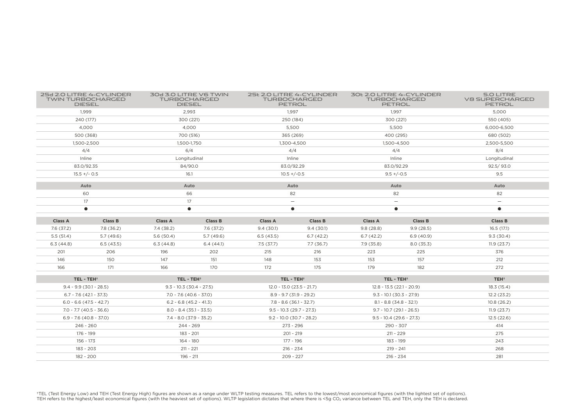|                           | 25d 2.0 LITRE 4-CYLINDER<br><b>TWIN TURBOCHARGED</b><br><b>DIESEL</b> |                | 30d 3.0 LITRE V6 TWIN<br><b>TURBOCHARGED</b><br><b>DIESEL</b> |                             | 25t 2.0 LITRE 4-CYLINDER<br><b>TURBOCHARGED</b><br><b>PETROL</b> |                            | 30t 2.0 LITRE 4-CYLINDER<br><b>TURBOCHARGED</b><br><b>PETROL</b> | 5.O LITRE<br><b>V8 SUPERCHARGED</b><br><b>PETROL</b> |
|---------------------------|-----------------------------------------------------------------------|----------------|---------------------------------------------------------------|-----------------------------|------------------------------------------------------------------|----------------------------|------------------------------------------------------------------|------------------------------------------------------|
| 1,999                     |                                                                       | 2,993          |                                                               | 1,997                       |                                                                  | 1,997                      |                                                                  | 5,000                                                |
| 240 (177)                 |                                                                       | 300 (221)      |                                                               |                             | 250 (184)                                                        |                            | 300 (221)                                                        | 550 (405)                                            |
| 4.000                     |                                                                       | 4.000          |                                                               | 5.500                       |                                                                  | 5.500                      |                                                                  | 6.000-6.500                                          |
| 500 (368)                 |                                                                       | 700 (516)      |                                                               | 365 (269)                   |                                                                  | 400 (295)                  |                                                                  | 680 (502)                                            |
| 1,500-2,500               |                                                                       | 1,500-1,750    |                                                               | 1,300-4,500                 |                                                                  | 1,500-4,500                |                                                                  | 2,500-5,500                                          |
|                           | 4/4                                                                   |                | 6/4                                                           |                             | 4/4                                                              |                            | 4/4                                                              | 8/4                                                  |
|                           | Inline                                                                |                | Longitudinal                                                  |                             | Inline                                                           |                            | Inline                                                           | Longitudinal                                         |
| 83.0/92.35                |                                                                       | 84/90.0        |                                                               |                             | 83.0/92.29                                                       |                            | 83.0/92.29                                                       | 92.5/93.0                                            |
|                           | $15.5 +/- 0.5$                                                        |                | 16.1                                                          |                             | $10.5 + (-0.5)$                                                  |                            | $9.5 + (-0.5)$                                                   | 9.5                                                  |
|                           | Auto                                                                  |                | Auto                                                          |                             | Auto                                                             |                            | Auto                                                             | Auto                                                 |
|                           | 60                                                                    |                | 66                                                            |                             | 82                                                               |                            | 82                                                               | 82                                                   |
| 17                        |                                                                       | 17             |                                                               |                             | $\qquad \qquad -$                                                |                            | $\overline{\phantom{m}}$                                         | $\overline{\phantom{m}}$                             |
| $\bullet$                 |                                                                       | $\bullet$      |                                                               |                             | $\bullet$                                                        |                            | $\bullet$                                                        | $\bullet$                                            |
| <b>Class A</b>            | <b>Class B</b>                                                        | <b>Class A</b> | <b>Class B</b>                                                | <b>Class A</b>              | <b>Class B</b>                                                   | <b>Class A</b>             | <b>Class B</b>                                                   | <b>Class B</b>                                       |
| 7.6(37.2)                 | 7.8 (36.2)                                                            | 7.4 (38.2)     | 7.6(37.2)                                                     | 9.4(30.1)                   | 9.4(30.1)                                                        | 9.8(28.8)                  | 9.9(28.5)                                                        | 16.5(17.1)                                           |
| 5.5(51.4)                 | 5.7(49.6)                                                             | 5.6(50.4)      | 5.7(49.6)                                                     | 6.5(43.5)                   | 6.7(42.2)                                                        | 6.7(42.2)                  | 6.9(40.9)                                                        | 9.3(30.4)                                            |
| 6.3(44.8)                 | 6.5(43.5)                                                             | 6.3(44.8)      | 6.4(44.1)                                                     | 7.5(37.7)                   | 7.7(36.7)                                                        | 7.9(35.8)                  | 8.0(35.3)                                                        | 11.9(23.7)                                           |
| 201                       | 206                                                                   | 196            | 202                                                           | 215                         | 216                                                              | 223                        | 225                                                              | 376                                                  |
|                           |                                                                       |                |                                                               |                             | 153                                                              |                            | 157                                                              |                                                      |
| 146                       | 150                                                                   | 147            | 151                                                           | 148                         |                                                                  | 153                        |                                                                  | 212                                                  |
| 166                       | 171                                                                   | 166            | 170                                                           | 172                         | 175                                                              | 179                        | 182                                                              | 272                                                  |
| TEL-TEH <sup>+</sup>      |                                                                       |                | TEL-TEH <sup>+</sup>                                          | TEL - TEH <sup>+</sup>      |                                                                  | TEL-TEH <sup>+</sup>       |                                                                  | TEH <sup>+</sup>                                     |
| $9.4 - 9.9$ (30.1 - 28.5) |                                                                       |                | $9.3 - 10.3(30.4 - 27.5)$                                     | $12.0 - 13.0$ (23.5 - 21.7) |                                                                  | $12.8 - 13.5(22.1 - 20.9)$ |                                                                  | 18.3 (15.4)                                          |
| $6.7 - 7.6$ (42.1 - 37.3) |                                                                       |                | $7.0 - 7.6(40.6 - 37.0)$                                      | $8.9 - 9.7$ (31.9 - 29.2)   |                                                                  | $9.3 - 10.1 (30.3 - 27.9)$ |                                                                  | 12.2(23.2)                                           |
| $6.0 - 6.6$ (47.5 - 42.7) |                                                                       |                | $6.2 - 6.8$ (45.2 - 41.3)                                     | $7.8 - 8.6$ (36.1 - 32.7)   |                                                                  | $8.1 - 8.8$ (34.8 - 32.1)  |                                                                  | 10.8(26.2)                                           |
| $7.0 - 7.7$ (40.5 - 36.6) |                                                                       |                | $8.0 - 8.4$ (35.1 - 33.5)                                     | $9.5 - 10.3$ (29.7 - 27.3)  |                                                                  | $9.7 - 10.7$ (29.1 - 26.5) |                                                                  | 11.9(23.7)                                           |
| $6.9 - 7.6$ (40.8 - 37.0) |                                                                       |                | $7.4 - 8.0$ (37.9 - 35.2)                                     | $9.2 - 10.0$ (30.7 - 28.2)  |                                                                  | $9.5 - 10.4$ (29.6 - 27.3) |                                                                  | 12.5(22.6)                                           |
| $246 - 260$               |                                                                       |                | 244 - 269                                                     | $273 - 296$                 |                                                                  | 290 - 307                  |                                                                  | 414                                                  |
| 176 - 199                 |                                                                       |                | 183 - 201                                                     | $201 - 219$                 |                                                                  | $211 - 229$                |                                                                  | 275                                                  |
| 156 - 173                 |                                                                       |                | 164 - 180                                                     | 177 - 196                   |                                                                  | 183 - 199                  |                                                                  | 243                                                  |
| 183 - 203                 |                                                                       |                | $211 - 221$                                                   | $216 - 234$                 |                                                                  | $219 - 241$                |                                                                  | 268                                                  |

†TEL (Test Energy Low) and TEH (Test Energy High) figures are shown as a range under WLTP testing measures. TEL refers to the lowest/most economical figures (with the lightest set of options).<br>TEH refers to the highest/le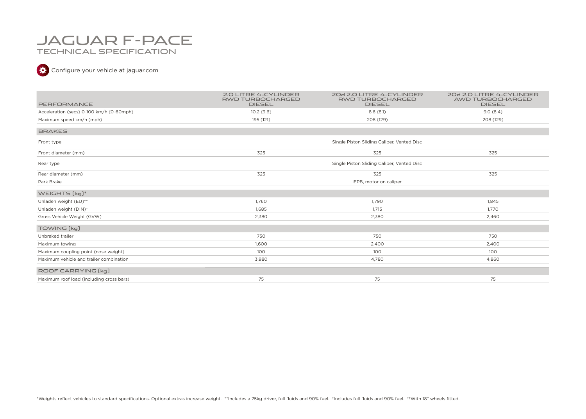## JAGUAR F-PACE TECHNICAL SPECIFICATION

### Configure your vehicle at jaguar.com

| PERFORMANCE                              | <b>2.0 LITRE 4-CYLINDER</b><br><b>RWD TURBOCHARGED</b><br><b>DIESEL</b> | 20d 2.0 LITRE 4-CYLINDER<br><b>RWD TURBOCHARGED</b><br><b>DIESEL</b> | 20d 2.0 LITRE 4-CYLINDER<br>AWD TURBOCHARGED<br><b>DIESEL</b> |
|------------------------------------------|-------------------------------------------------------------------------|----------------------------------------------------------------------|---------------------------------------------------------------|
| Acceleration (secs) 0-100 km/h (0-60mph) | 10.2(9.6)                                                               | 8.6(8.1)                                                             | 9.0(8.4)                                                      |
| Maximum speed km/h (mph)                 | 195 (121)                                                               | 208 (129)                                                            | 208 (129)                                                     |
| <b>BRAKES</b>                            |                                                                         |                                                                      |                                                               |
| Front type                               |                                                                         | Single Piston Sliding Caliper, Vented Disc                           |                                                               |
| Front diameter (mm)                      | 325                                                                     | 325                                                                  | 325                                                           |
| Rear type                                |                                                                         | Single Piston Sliding Caliper, Vented Disc                           |                                                               |
| Rear diameter (mm)                       | 325                                                                     | 325                                                                  | 325                                                           |
| Park Brake                               |                                                                         | iEPB, motor on caliper                                               |                                                               |
| WEIGHTS [kg]*                            |                                                                         |                                                                      |                                                               |
| Unladen weight (EU)**                    | 1,760                                                                   | 1,790                                                                | 1,845                                                         |
| Unladen weight (DIN) <sup>+</sup>        | 1.685                                                                   | 1.715                                                                | 1.770                                                         |
| Gross Vehicle Weight (GVW)               | 2,380                                                                   | 2,380                                                                | 2,460                                                         |
| TOWING [kg]                              |                                                                         |                                                                      |                                                               |
| Unbraked trailer                         | 750                                                                     | 750                                                                  | 750                                                           |
| Maximum towing                           | 1,600                                                                   | 2,400                                                                | 2,400                                                         |
| Maximum coupling point (nose weight)     | 100                                                                     | 100                                                                  | 100                                                           |
| Maximum vehicle and trailer combination  | 3,980                                                                   | 4,780                                                                | 4,860                                                         |
| ROOF CARRYING [kg]                       |                                                                         |                                                                      |                                                               |
| Maximum roof load (including cross bars) | 75                                                                      | 75                                                                   | 75                                                            |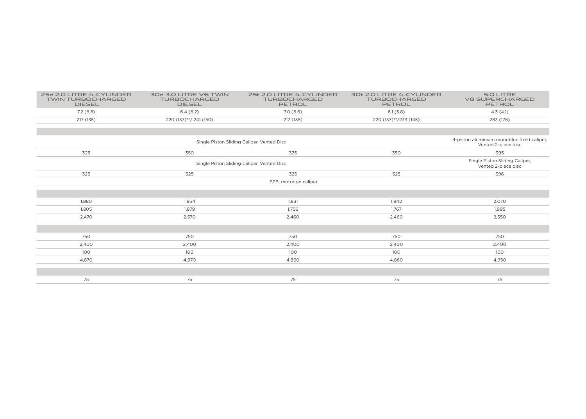| 25d 2.0 LITRE 4-CYLINDER<br><b>TWIN TURBOCHARGED</b><br><b>DIESEL</b> | 30d 3.0 LITRE V6 TWIN<br><b>TURBOCHARGED</b><br><b>DIESEL</b>     | 25t 2.0 LITRE 4-CYLINDER<br><b>TURBOCHARGED</b><br>PETROL | 30t 2.0 LITRE 4-CYLINDER<br><b>TURBOCHARGED</b><br>PETROL | <b>5.0 LITRE</b><br><b>V8 SUPERCHARGED</b><br>PETROL |
|-----------------------------------------------------------------------|-------------------------------------------------------------------|-----------------------------------------------------------|-----------------------------------------------------------|------------------------------------------------------|
| 7.2(6.8)                                                              | 6.4(6.2)                                                          | 7.0(6.6)                                                  | 6.1(5.8)                                                  | 4.3(4.1)                                             |
| 217 (135)                                                             | 220 (137) <sup>++</sup> / 241 (150)                               | 217 (135)                                                 | 220 (137) <sup>++</sup> /233 (145)                        | 283 (176)                                            |
|                                                                       |                                                                   |                                                           |                                                           |                                                      |
|                                                                       | 4-piston aluminium monobloc fixed caliper,<br>Vented 2-piece disc |                                                           |                                                           |                                                      |
| 325                                                                   | 350                                                               | 325                                                       | 350                                                       | 395                                                  |
|                                                                       |                                                                   | Single Piston Sliding Caliper,<br>Vented 2-piece disc     |                                                           |                                                      |
| 325                                                                   | 325                                                               | 325                                                       | 325                                                       | 396                                                  |
|                                                                       |                                                                   | iEPB, motor on caliper                                    |                                                           |                                                      |
|                                                                       |                                                                   |                                                           |                                                           |                                                      |
| 1.880                                                                 | 1.954                                                             | 1,831                                                     | 1,842                                                     | 2,070                                                |
| 1,805                                                                 | 1.879                                                             | 1,756                                                     | 1.767                                                     | 1,995                                                |
| 2,470                                                                 | 2,570                                                             | 2,460                                                     | 2,460                                                     | 2,550                                                |
|                                                                       |                                                                   |                                                           |                                                           |                                                      |
| 750                                                                   | 750                                                               | 750                                                       | 750                                                       | 750                                                  |
| 2,400                                                                 | 2,400                                                             | 2,400                                                     | 2,400                                                     | 2,400                                                |
| 100                                                                   | 100                                                               | 100                                                       | 100                                                       | 100                                                  |
| 4,870                                                                 | 4,970                                                             | 4,860                                                     | 4,860                                                     | 4,950                                                |
|                                                                       |                                                                   |                                                           |                                                           |                                                      |
| 75                                                                    | 75                                                                | 75                                                        | 75                                                        | 75                                                   |
|                                                                       |                                                                   |                                                           |                                                           |                                                      |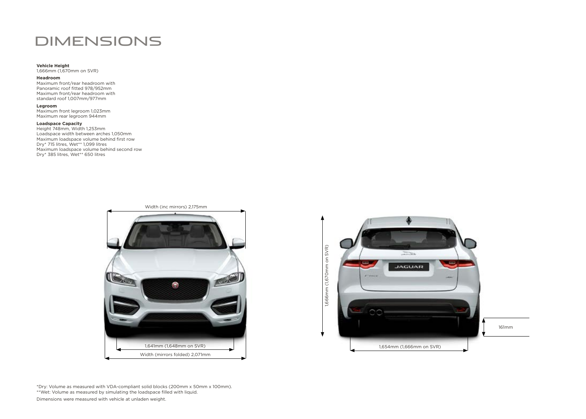## DIMENSIONS

### **Vehicle Height**

1,666mm (1,670mm on SVR)

#### **Headroom**

Maximum front/rear headroom with Panoramic roof fitted 978/952mm Maximum front/rear headroom with standard roof 1,007mm/977mm

### **Legroom**

Maximum front legroom 1,023mm Maximum rear legroom 944mm

**Loadspace Capacity**  Height 748mm, Width 1,253mm Loadspace width between arches 1,050mm Maximum loadspace volume behind first row Dry\* 715 litres, Wet\*\* 1,099 litres Maximum loadspace volume behind second row Dry\* 385 litres, Wet\*\* 650 litres





\*Dry: Volume as measured with VDA-compliant solid blocks (200mm x 50mm x 100mm). \*\*Wet: Volume as measured by simulating the loadspace filled with liquid.

Dimensions were measured with vehicle at unladen weight.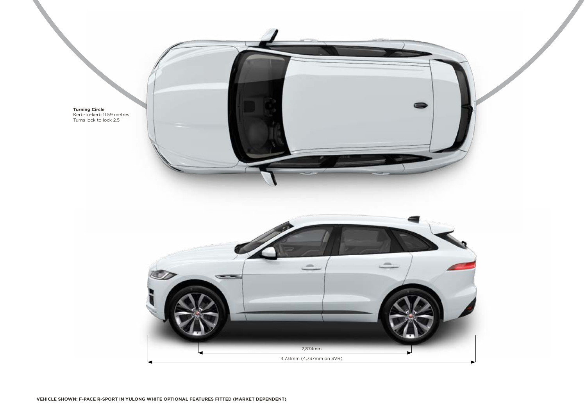